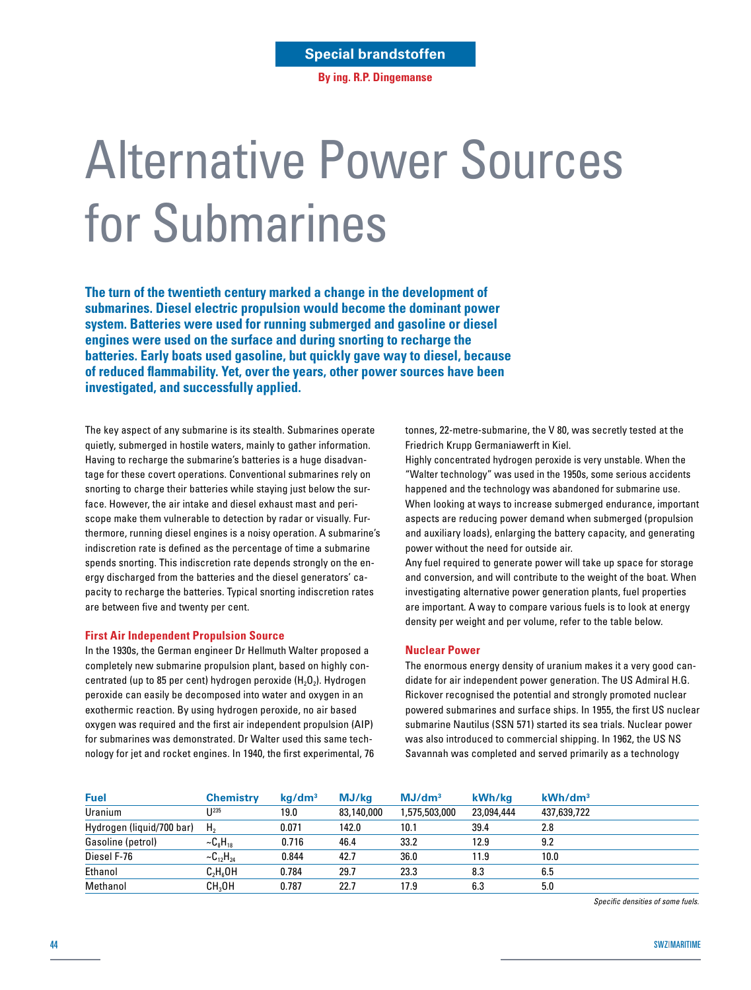**By ing. R.P. Dingemanse**

# Alternative Power Sources for Submarines

**The turn of the twentieth century marked a change in the development of submarines. Diesel electric propulsion would become the dominant power system. Batteries were used for running submerged and gasoline or diesel engines were used on the surface and during snorting to recharge the batteries. Early boats used gasoline, but quickly gave way to diesel, because of reduced flammability. Yet, over the years, other power sources have been investigated, and successfully applied.**

The key aspect of any submarine is its stealth. Submarines operate quietly, submerged in hostile waters, mainly to gather information. Having to recharge the submarine's batteries is a huge disadvantage for these covert operations. Conventional submarines rely on snorting to charge their batteries while staying just below the surface. However, the air intake and diesel exhaust mast and periscope make them vulnerable to detection by radar or visually. Furthermore, running diesel engines is a noisy operation. A submarine's indiscretion rate is defined as the percentage of time a submarine spends snorting. This indiscretion rate depends strongly on the energy discharged from the batteries and the diesel generators' capacity to recharge the batteries. Typical snorting indiscretion rates are between five and twenty per cent.

# **First Air Independent Propulsion Source**

In the 1930s, the German engineer Dr Hellmuth Walter proposed a completely new submarine propulsion plant, based on highly concentrated (up to 85 per cent) hydrogen peroxide  $(H<sub>2</sub>O<sub>2</sub>)$ . Hydrogen peroxide can easily be decomposed into water and oxygen in an exothermic reaction. By using hydrogen peroxide, no air based oxygen was required and the first air independent propulsion (AIP) for submarines was demonstrated. Dr Walter used this same technology for jet and rocket engines. In 1940, the first experimental, 76 tonnes, 22-metre-submarine, the V 80, was secretly tested at the Friedrich Krupp Germaniawerft in Kiel.

Highly concentrated hydrogen peroxide is very unstable. When the "Walter technology" was used in the 1950s, some serious accidents happened and the technology was abandoned for submarine use. When looking at ways to increase submerged endurance, important aspects are reducing power demand when submerged (propulsion and auxiliary loads), enlarging the battery capacity, and generating power without the need for outside air.

Any fuel required to generate power will take up space for storage and conversion, and will contribute to the weight of the boat. When investigating alternative power generation plants, fuel properties are important. A way to compare various fuels is to look at energy density per weight and per volume, refer to the table below.

# **Nuclear Power**

The enormous energy density of uranium makes it a very good candidate for air independent power generation. The US Admiral H.G. Rickover recognised the potential and strongly promoted nuclear powered submarines and surface ships. In 1955, the first US nuclear submarine Nautilus (SSN 571) started its sea trials. Nuclear power was also introduced to commercial shipping. In 1962, the US NS Savannah was completed and served primarily as a technology

| <b>Fuel</b>               | <b>Chemistry</b>                      | kq/dm <sup>3</sup> | MJ/kg      | MJ/dm <sup>3</sup> | kWh/ka     | kWh/dm <sup>3</sup> |
|---------------------------|---------------------------------------|--------------------|------------|--------------------|------------|---------------------|
| Uranium                   | I J 235                               | 19.0               | 83,140,000 | 1,575,503,000      | 23,094,444 | 437,639,722         |
| Hydrogen (liquid/700 bar) | H <sub>2</sub>                        | 0.071              | 142.0      | 10.1               | 39.4       | 2.8                 |
| Gasoline (petrol)         | $\sim$ C <sub>8</sub> H <sub>18</sub> | 0.716              | 46.4       | 33.2               | 12.9       | 9.2                 |
| Diesel F-76               | $-C_{12}H_{24}$                       | 0.844              | 42.7       | 36.0               | 11.9       | 10.0                |
| Ethanol                   | $C_2H_6OH$                            | 0.784              | 29.7       | 23.3               | 8.3        | 6.5                 |
| Methanol                  | CH <sub>2</sub> OH                    | 0.787              | 22.7       | 17.9               | 6.3        | 5.0                 |

*Specific densities of some fuels.*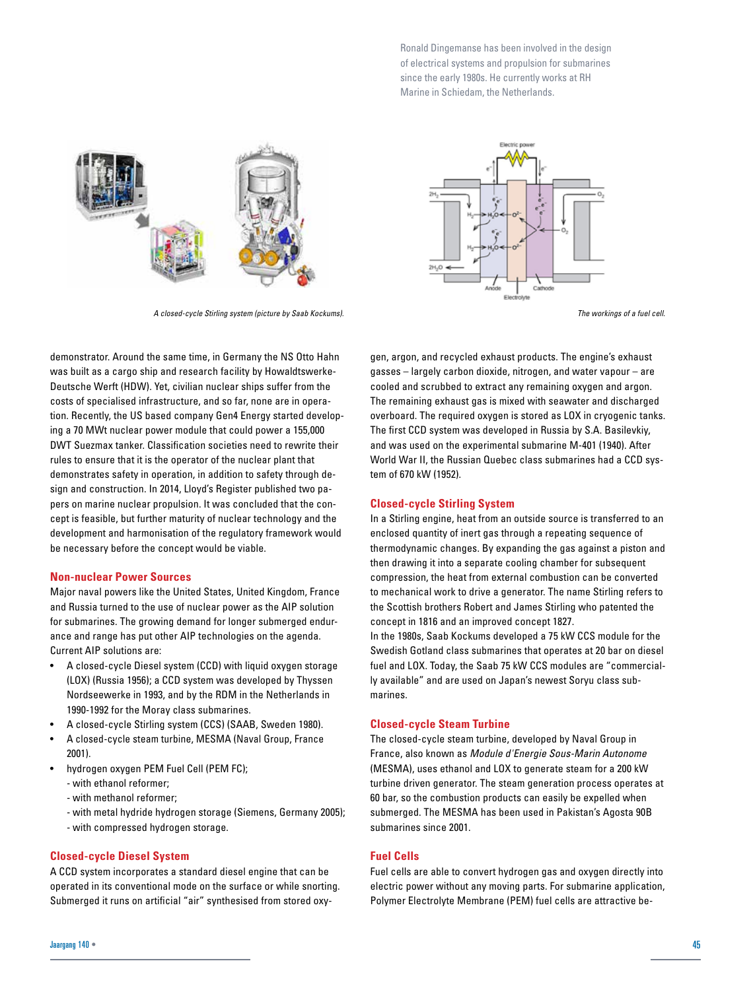Ronald Dingemanse has been involved in the design of electrical systems and propulsion for submarines since the early 1980s. He currently works at RH Marine in Schiedam, the Netherlands.



*A closed-cycle Stirling system (picture by Saab Kockums). The workings of a fuel cell.*



demonstrator. Around the same time, in Germany the NS Otto Hahn was built as a cargo ship and research facility by Howaldtswerke-Deutsche Werft (HDW). Yet, civilian nuclear ships suffer from the costs of specialised infrastructure, and so far, none are in operation. Recently, the US based company Gen4 Energy started developing a 70 MWt nuclear power module that could power a 155,000 DWT Suezmax tanker. Classification societies need to rewrite their rules to ensure that it is the operator of the nuclear plant that demonstrates safety in operation, in addition to safety through design and construction. In 2014, Lloyd's Register published two papers on marine nuclear propulsion. It was concluded that the concept is feasible, but further maturity of nuclear technology and the development and harmonisation of the regulatory framework would be necessary before the concept would be viable.

#### **Non-nuclear Power Sources**

Major naval powers like the United States, United Kingdom, France and Russia turned to the use of nuclear power as the AIP solution for submarines. The growing demand for longer submerged endurance and range has put other AIP technologies on the agenda. Current AIP solutions are:

- A closed-cycle Diesel system (CCD) with liquid oxygen storage (LOX) (Russia 1956); a CCD system was developed by Thyssen Nordseewerke in 1993, and by the RDM in the Netherlands in 1990-1992 for the Moray class submarines.
- A closed-cycle Stirling system (CCS) (SAAB, Sweden 1980).
- A closed-cycle steam turbine, MESMA (Naval Group, France 2001).
- hydrogen oxygen PEM Fuel Cell (PEM FC);
	- with ethanol reformer;
	- with methanol reformer;
	- with metal hydride hydrogen storage (Siemens, Germany 2005);
	- with compressed hydrogen storage.

### **Closed-cycle Diesel System**

A CCD system incorporates a standard diesel engine that can be operated in its conventional mode on the surface or while snorting. Submerged it runs on artificial "air" synthesised from stored oxy-

gen, argon, and recycled exhaust products. The engine's exhaust gasses – largely carbon dioxide, nitrogen, and water vapour – are cooled and scrubbed to extract any remaining oxygen and argon. The remaining exhaust gas is mixed with seawater and discharged overboard. The required oxygen is stored as LOX in cryogenic tanks. The first CCD system was developed in Russia by S.A. Basilevkiy, and was used on the experimental submarine M-401 (1940). After World War II, the Russian Quebec class submarines had a CCD system of 670 kW (1952).

#### **Closed-cycle Stirling System**

In a Stirling engine, heat from an outside source is transferred to an enclosed quantity of inert gas through a repeating sequence of thermodynamic changes. By expanding the gas against a piston and then drawing it into a separate cooling chamber for subsequent compression, the heat from external combustion can be converted to mechanical work to drive a generator. The name Stirling refers to the Scottish brothers Robert and James Stirling who patented the concept in 1816 and an improved concept 1827.

In the 1980s, Saab Kockums developed a 75 kW CCS module for the Swedish Gotland class submarines that operates at 20 bar on diesel fuel and LOX. Today, the Saab 75 kW CCS modules are "commercially available" and are used on Japan's newest Soryu class submarines.

#### **Closed-cycle Steam Turbine**

The closed-cycle steam turbine, developed by Naval Group in France, also known as *Module d'Energie Sous-Marin Autonome* (MESMA), uses ethanol and LOX to generate steam for a 200 kW turbine driven generator. The steam generation process operates at 60 bar, so the combustion products can easily be expelled when submerged. The MESMA has been used in Pakistan's Agosta 90B submarines since 2001.

# **Fuel Cells**

Fuel cells are able to convert hydrogen gas and oxygen directly into electric power without any moving parts. For submarine application, Polymer Electrolyte Membrane (PEM) fuel cells are attractive be